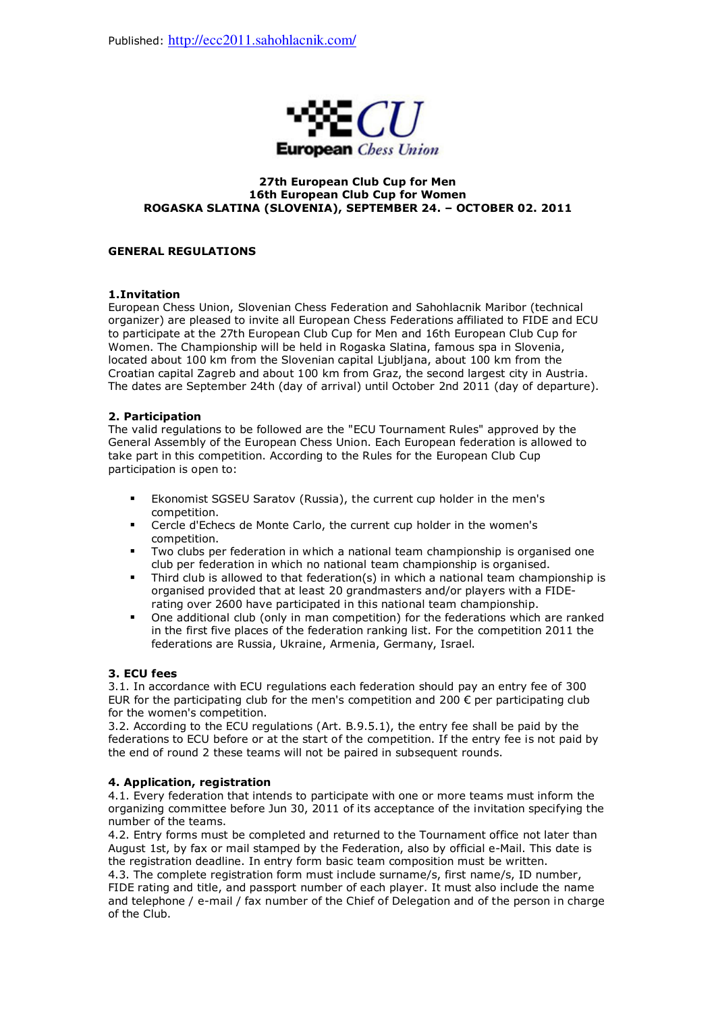

#### **27th European Club Cup for Men 16th European Club Cup for Women ROGASKA SLATINA (SLOVENIA), SEPTEMBER 24. – OCTOBER 02. 2011**

## **GENERAL REGULATIONS**

#### **1.Invitation**

European Chess Union, Slovenian Chess Federation and Sahohlacnik Maribor (technical organizer) are pleased to invite all European Chess Federations affiliated to FIDE and ECU to participate at the 27th European Club Cup for Men and 16th European Club Cup for Women. The Championship will be held in Rogaska Slatina, famous spa in Slovenia, located about 100 km from the Slovenian capital Ljubljana, about 100 km from the Croatian capital Zagreb and about 100 km from Graz, the second largest city in Austria. The dates are September 24th (day of arrival) until October 2nd 2011 (day of departure).

#### **2. Participation**

The valid regulations to be followed are the "ECU Tournament Rules" approved by the General Assembly of the European Chess Union. Each European federation is allowed to take part in this competition. According to the Rules for the European Club Cup participation is open to:

- Ekonomist SGSEU Saratov (Russia), the current cup holder in the men's competition.
- Cercle d'Echecs de Monte Carlo, the current cup holder in the women's competition.
- Two clubs per federation in which a national team championship is organised one club per federation in which no national team championship is organised.
- Third club is allowed to that federation(s) in which a national team championship is organised provided that at least 20 grandmasters and/or players with a FIDErating over 2600 have participated in this national team championship.
- One additional club (only in man competition) for the federations which are ranked in the first five places of the federation ranking list. For the competition 2011 the federations are Russia, Ukraine, Armenia, Germany, Israel.

## **3. ECU fees**

3.1. In accordance with ECU regulations each federation should pay an entry fee of 300 EUR for the participating club for the men's competition and 200  $\epsilon$  per participating club for the women's competition.

3.2. According to the ECU regulations (Art. B.9.5.1), the entry fee shall be paid by the federations to ECU before or at the start of the competition. If the entry fee is not paid by the end of round 2 these teams will not be paired in subsequent rounds.

## **4. Application, registration**

4.1. Every federation that intends to participate with one or more teams must inform the organizing committee before Jun 30, 2011 of its acceptance of the invitation specifying the number of the teams.

4.2. Entry forms must be completed and returned to the Tournament office not later than August 1st, by fax or mail stamped by the Federation, also by official e-Mail. This date is the registration deadline. In entry form basic team composition must be written.

4.3. The complete registration form must include surname/s, first name/s, ID number, FIDE rating and title, and passport number of each player. It must also include the name and telephone / e-mail / fax number of the Chief of Delegation and of the person in charge of the Club.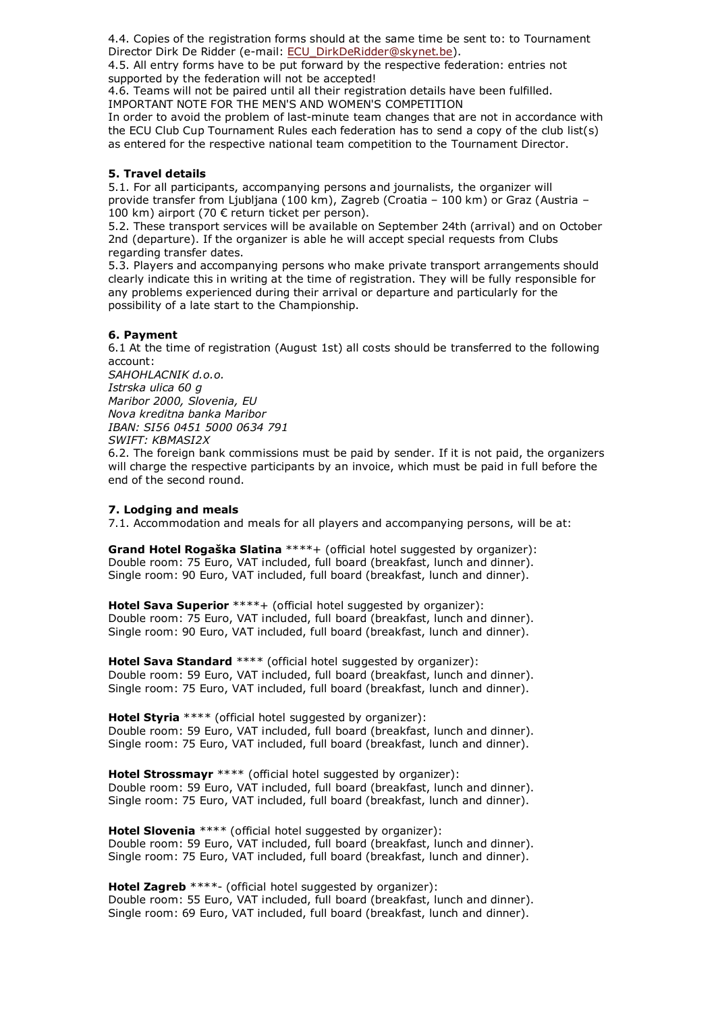4.4. Copies of the registration forms should at the same time be sent to: to Tournament Director Dirk De Ridder (e-mail: ECU\_DirkDeRidder@skynet.be).

4.5. All entry forms have to be put forward by the respective federation: entries not supported by the federation will not be accepted!

4.6. Teams will not be paired until all their registration details have been fulfilled. IMPORTANT NOTE FOR THE MEN'S AND WOMEN'S COMPETITION

In order to avoid the problem of last-minute team changes that are not in accordance with the ECU Club Cup Tournament Rules each federation has to send a copy of the club list(s) as entered for the respective national team competition to the Tournament Director.

## **5. Travel details**

5.1. For all participants, accompanying persons and journalists, the organizer will provide transfer from Ljubljana (100 km), Zagreb (Croatia – 100 km) or Graz (Austria – 100 km) airport (70 € return ticket per person).

5.2. These transport services will be available on September 24th (arrival) and on October 2nd (departure). If the organizer is able he will accept special requests from Clubs regarding transfer dates.

5.3. Players and accompanying persons who make private transport arrangements should clearly indicate this in writing at the time of registration. They will be fully responsible for any problems experienced during their arrival or departure and particularly for the possibility of a late start to the Championship.

# **6. Payment**

6.1 At the time of registration (August 1st) all costs should be transferred to the following account:

*SAHOHLACNIK d.o.o. Istrska ulica 60 g Maribor 2000, Slovenia, EU Nova kreditna banka Maribor IBAN: SI56 0451 5000 0634 791 SWIFT: KBMASI2X*

6.2. The foreign bank commissions must be paid by sender. If it is not paid, the organizers will charge the respective participants by an invoice, which must be paid in full before the end of the second round.

## **7. Lodging and meals**

7.1. Accommodation and meals for all players and accompanying persons, will be at:

**Grand Hotel Rogaška Slatina** \*\*\*\*+ (official hotel suggested by organizer): Double room: 75 Euro, VAT included, full board (breakfast, lunch and dinner). Single room: 90 Euro, VAT included, full board (breakfast, lunch and dinner).

**Hotel Sava Superior** \*\*\*\*+ (official hotel suggested by organizer): Double room: 75 Euro, VAT included, full board (breakfast, lunch and dinner). Single room: 90 Euro, VAT included, full board (breakfast, lunch and dinner).

**Hotel Sava Standard** \*\*\*\* (official hotel suggested by organizer): Double room: 59 Euro, VAT included, full board (breakfast, lunch and dinner). Single room: 75 Euro, VAT included, full board (breakfast, lunch and dinner).

**Hotel Styria** \*\*\*\* (official hotel suggested by organizer): Double room: 59 Euro, VAT included, full board (breakfast, lunch and dinner). Single room: 75 Euro, VAT included, full board (breakfast, lunch and dinner).

**Hotel Strossmayr** \*\*\*\* (official hotel suggested by organizer): Double room: 59 Euro, VAT included, full board (breakfast, lunch and dinner). Single room: 75 Euro, VAT included, full board (breakfast, lunch and dinner).

**Hotel Slovenia** \*\*\*\* (official hotel suggested by organizer): Double room: 59 Euro, VAT included, full board (breakfast, lunch and dinner). Single room: 75 Euro, VAT included, full board (breakfast, lunch and dinner).

**Hotel Zagreb** \*\*\*\*- (official hotel suggested by organizer): Double room: 55 Euro, VAT included, full board (breakfast, lunch and dinner). Single room: 69 Euro, VAT included, full board (breakfast, lunch and dinner).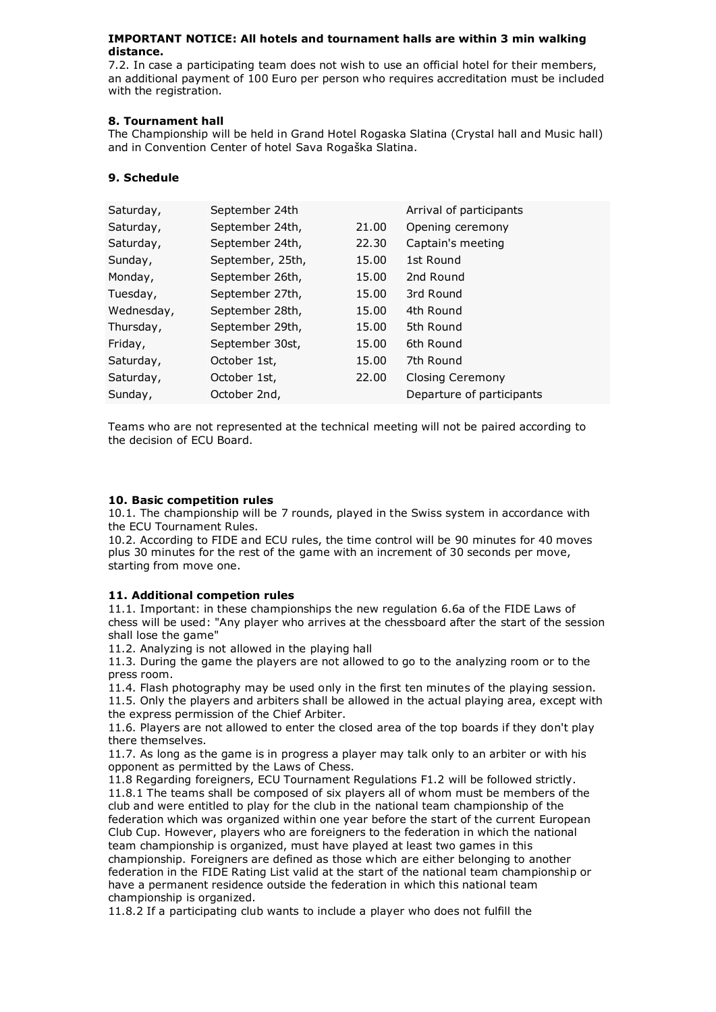## **IMPORTANT NOTICE: All hotels and tournament halls are within 3 min walking distance.**

7.2. In case a participating team does not wish to use an official hotel for their members, an additional payment of 100 Euro per person who requires accreditation must be included with the registration.

# **8. Tournament hall**

The Championship will be held in Grand Hotel Rogaska Slatina (Crystal hall and Music hall) and in Convention Center of hotel Sava Rogaška Slatina.

# **9. Schedule**

| September 24th   |       | Arrival of participants   |
|------------------|-------|---------------------------|
| September 24th,  | 21.00 | Opening ceremony          |
| September 24th,  | 22.30 | Captain's meeting         |
| September, 25th, | 15.00 | 1st Round                 |
| September 26th,  | 15.00 | 2nd Round                 |
| September 27th,  | 15.00 | 3rd Round                 |
| September 28th,  | 15.00 | 4th Round                 |
| September 29th,  | 15.00 | 5th Round                 |
| September 30st,  | 15.00 | 6th Round                 |
| October 1st,     | 15.00 | 7th Round                 |
| October 1st,     | 22.00 | Closing Ceremony          |
| October 2nd,     |       | Departure of participants |
|                  |       |                           |

Teams who are not represented at the technical meeting will not be paired according to the decision of ECU Board.

## **10. Basic competition rules**

10.1. The championship will be 7 rounds, played in the Swiss system in accordance with the ECU Tournament Rules.

10.2. According to FIDE and ECU rules, the time control will be 90 minutes for 40 moves plus 30 minutes for the rest of the game with an increment of 30 seconds per move, starting from move one.

## **11. Additional competion rules**

11.1. Important: in these championships the new regulation 6.6a of the FIDE Laws of chess will be used: "Any player who arrives at the chessboard after the start of the session shall lose the game"

11.2. Analyzing is not allowed in the playing hall

11.3. During the game the players are not allowed to go to the analyzing room or to the press room.

11.4. Flash photography may be used only in the first ten minutes of the playing session. 11.5. Only the players and arbiters shall be allowed in the actual playing area, except with the express permission of the Chief Arbiter.

11.6. Players are not allowed to enter the closed area of the top boards if they don't play there themselves.

11.7. As long as the game is in progress a player may talk only to an arbiter or with his opponent as permitted by the Laws of Chess.

11.8 Regarding foreigners, ECU Tournament Regulations F1.2 will be followed strictly. 11.8.1 The teams shall be composed of six players all of whom must be members of the club and were entitled to play for the club in the national team championship of the federation which was organized within one year before the start of the current European Club Cup. However, players who are foreigners to the federation in which the national team championship is organized, must have played at least two games in this championship. Foreigners are defined as those which are either belonging to another federation in the FIDE Rating List valid at the start of the national team championship or have a permanent residence outside the federation in which this national team championship is organized.

11.8.2 If a participating club wants to include a player who does not fulfill the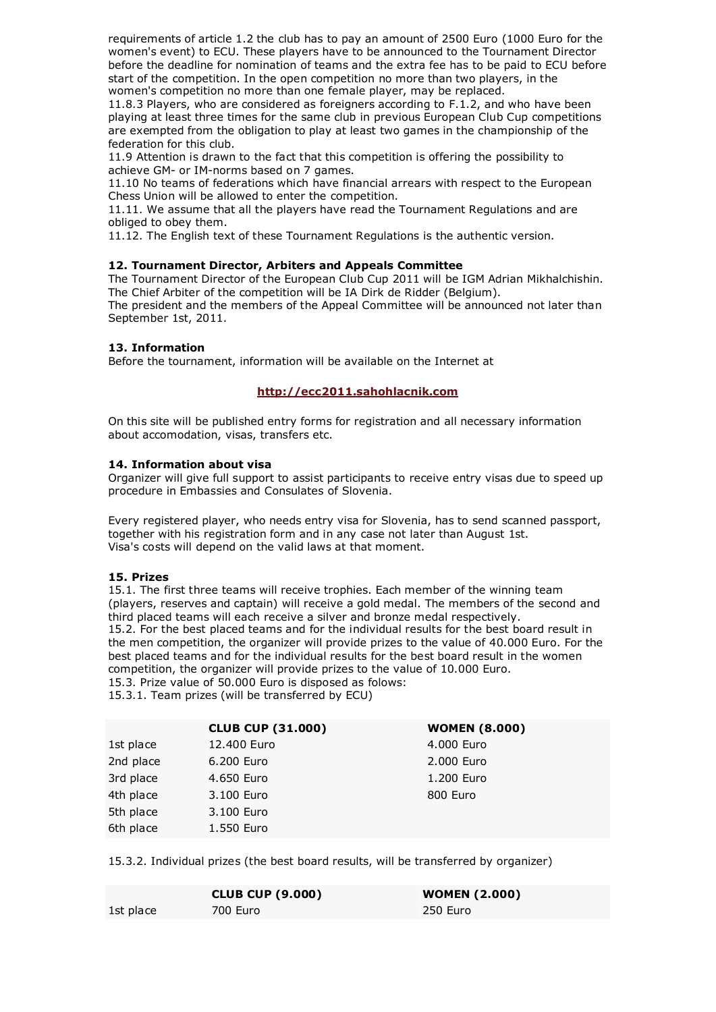requirements of article 1.2 the club has to pay an amount of 2500 Euro (1000 Euro for the women's event) to ECU. These players have to be announced to the Tournament Director before the deadline for nomination of teams and the extra fee has to be paid to ECU before start of the competition. In the open competition no more than two players, in the women's competition no more than one female player, may be replaced.

11.8.3 Players, who are considered as foreigners according to F.1.2, and who have been playing at least three times for the same club in previous European Club Cup competitions are exempted from the obligation to play at least two games in the championship of the federation for this club.

11.9 Attention is drawn to the fact that this competition is offering the possibility to achieve GM- or IM-norms based on 7 games.

11.10 No teams of federations which have financial arrears with respect to the European Chess Union will be allowed to enter the competition.

11.11. We assume that all the players have read the Tournament Regulations and are obliged to obey them.

11.12. The English text of these Tournament Regulations is the authentic version.

## **12. Tournament Director, Arbiters and Appeals Committee**

The Tournament Director of the European Club Cup 2011 will be IGM Adrian Mikhalchishin. The Chief Arbiter of the competition will be IA Dirk de Ridder (Belgium).

The president and the members of the Appeal Committee will be announced not later than September 1st, 2011.

#### **13. Information**

Before the tournament, information will be available on the Internet at

## **http://ecc2011.sahohlacnik.com**

On this site will be published entry forms for registration and all necessary information about accomodation, visas, transfers etc.

#### **14. Information about visa**

Organizer will give full support to assist participants to receive entry visas due to speed up procedure in Embassies and Consulates of Slovenia.

Every registered player, who needs entry visa for Slovenia, has to send scanned passport, together with his registration form and in any case not later than August 1st. Visa's costs will depend on the valid laws at that moment.

#### **15. Prizes**

15.1. The first three teams will receive trophies. Each member of the winning team (players, reserves and captain) will receive a gold medal. The members of the second and third placed teams will each receive a silver and bronze medal respectively. 15.2. For the best placed teams and for the individual results for the best board result in the men competition, the organizer will provide prizes to the value of 40.000 Euro. For the best placed teams and for the individual results for the best board result in the women competition, the organizer will provide prizes to the value of 10.000 Euro.

15.3. Prize value of 50.000 Euro is disposed as folows:

15.3.1. Team prizes (will be transferred by ECU)

|           | <b>CLUB CUP (31.000)</b> | <b>WOMEN (8.000)</b> |
|-----------|--------------------------|----------------------|
| 1st place | 12,400 Euro              | 4.000 Euro           |
| 2nd place | 6.200 Euro               | 2,000 Euro           |
| 3rd place | 4.650 Euro               | 1.200 Euro           |
| 4th place | 3.100 Euro               | 800 Euro             |
| 5th place | 3.100 Euro               |                      |
| 6th place | 1.550 Euro               |                      |
|           |                          |                      |

15.3.2. Individual prizes (the best board results, will be transferred by organizer)

|           | <b>CLUB CUP (9.000)</b> | <b>WOMEN (2.000)</b> |
|-----------|-------------------------|----------------------|
| 1st place | 700 Euro                | 250 Euro             |